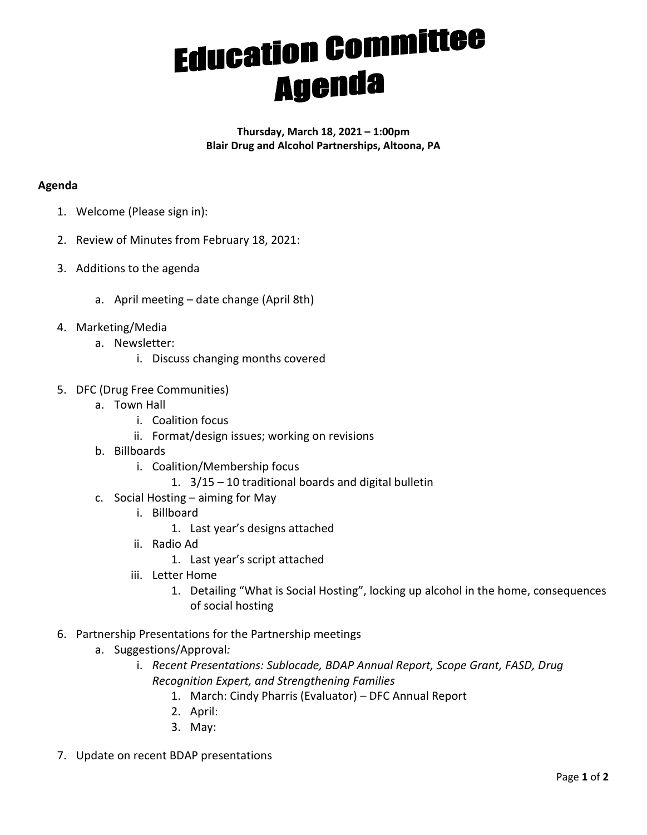## **Education Committee**

**Thursday, March 18, 2021 – 1:00pm Blair Drug and Alcohol Partnerships, Altoona, PA**

## **Agenda**

- 1. Welcome (Please sign in):
- 2. Review of Minutes from February 18, 2021:
- 3. Additions to the agenda
	- a. April meeting date change (April 8th)
- 4. Marketing/Media
	- a. Newsletter:
		- i. Discuss changing months covered
- 5. DFC (Drug Free Communities)
	- a. Town Hall
		- i. Coalition focus
		- ii. Format/design issues; working on revisions
	- b. Billboards
		- i. Coalition/Membership focus
			- 1. 3/15 10 traditional boards and digital bulletin
	- c. Social Hosting aiming for May
		- i. Billboard
			- 1. Last year's designs attached
		- ii. Radio Ad
			- 1. Last year's script attached
		- iii. Letter Home
			- 1. Detailing "What is Social Hosting", locking up alcohol in the home, consequences of social hosting
- 6. Partnership Presentations for the Partnership meetings
	- a. Suggestions/Approval*:*
		- i. *Recent Presentations: Sublocade, BDAP Annual Report, Scope Grant, FASD, Drug Recognition Expert, and Strengthening Families* 
			- 1. March: Cindy Pharris (Evaluator) DFC Annual Report
			- 2. April:
			- 3. May:
- 7. Update on recent BDAP presentations